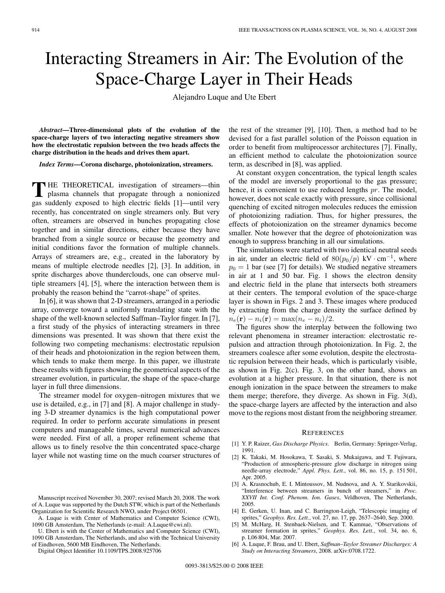## Interacting Streamers in Air: The Evolution of the Space-Charge Layer in Their Heads

Alejandro Luque and Ute Ebert

*Abstract***—Three-dimensional plots of the evolution of the space-charge layers of two interacting negative streamers show how the electrostatic repulsion between the two heads affects the charge distribution in the heads and drives them apart.**

*Index Terms***—Corona discharge, photoionization, streamers.**

THE THEORETICAL investigation of streamers—thin
plasma channels that propagate through a nonionized
interactional channels that  $\frac{1}{2}$ gas suddenly exposed to high electric fields [1]—until very recently, has concentrated on single streamers only. But very often, streamers are observed in bunches propagating close together and in similar directions, either because they have branched from a single source or because the geometry and initial conditions favor the formation of multiple channels. Arrays of streamers are, e.g., created in the laboratory by means of multiple electrode needles [2], [3]. In addition, in sprite discharges above thunderclouds, one can observe multiple streamers [4], [5], where the interaction between them is probably the reason behind the "carrot-shape" of sprites.

In [6], it was shown that 2-D streamers, arranged in a periodic array, converge toward a uniformly translating state with the shape of the well-known selected Saffman–Taylor finger. In [7], a first study of the physics of interacting streamers in three dimensions was presented. It was shown that there exist the following two competing mechanisms: electrostatic repulsion of their heads and photoionization in the region between them, which tends to make them merge. In this paper, we illustrate these results with figures showing the geometrical aspects of the streamer evolution, in particular, the shape of the space-charge layer in full three dimensions.

The streamer model for oxygen–nitrogen mixtures that we use is detailed, e.g., in [7] and [8]. A major challenge in studying 3-D streamer dynamics is the high computational power required. In order to perform accurate simulations in present computers and manageable times, several numerical advances were needed. First of all, a proper refinement scheme that allows us to finely resolve the thin concentrated space-charge layer while not wasting time on the much coarser structures of

Digital Object Identifier 10.1109/TPS.2008.925706

the rest of the streamer [9], [10]. Then, a method had to be devised for a fast parallel solution of the Poisson equation in order to benefit from multiprocessor architectures [7]. Finally, an efficient method to calculate the photoionization source term, as described in [8], was applied.

At constant oxygen concentration, the typical length scales of the model are inversely proportional to the gas pressure; hence, it is convenient to use reduced lengths pr. The model, however, does not scale exactly with pressure, since collisional quenching of excited nitrogen molecules reduces the emission of photoionizing radiation. Thus, for higher pressures, the effects of photoionization on the streamer dynamics become smaller. Note however that the degree of photoionization was enough to suppress branching in all our simulations.

The simulations were started with two identical neutral seeds in air, under an electric field of  $80(p_0/p)$  kV · cm<sup>-1</sup>, where  $p_0 = 1$  bar (see [7] for details). We studied negative streamers in air at 1 and 50 bar. Fig. 1 shows the electron density and electric field in the plane that intersects both streamers at their centers. The temporal evolution of the space-charge layer is shown in Figs. 2 and 3. These images where produced by extracting from the charge density the surface defined by  $n_e(\mathbf{r}) - n_i(\mathbf{r}) = \max(n_e - n_i)/2.$ 

The figures show the interplay between the following two relevant phenomena in streamer interaction: electrostatic repulsion and attraction through photoionization. In Fig. 2, the streamers coalesce after some evolution, despite the electrostatic repulsion between their heads, which is particularly visible, as shown in Fig. 2(c). Fig. 3, on the other hand, shows an evolution at a higher pressure. In that situation, there is not enough ionization in the space between the streamers to make them merge; therefore, they diverge. As shown in Fig. 3(d), the space-charge layers are affected by the interaction and also move to the regions most distant from the neighboring streamer.

## **REFERENCES**

- [1] Y. P. Raizer, *Gas Discharge Physics*. Berlin, Germany: Springer-Verlag, 1991.
- K. Takaki, M. Hosokawa, T. Sasaki, S. Mukaigawa, and T. Fujiwara, "Production of atmospheric-pressure glow discharge in nitrogen using needle-array electrode," *Appl. Phys. Lett.*, vol. 86, no. 15, p. 151 501, Apr. 2005.
- [3] A. Krasnochub, E. I. Mintoussov, M. Nudnova, and A. Y. Starikovskii, "Interference between streamers in bunch of streamers," in *Proc. XXVII Int. Conf. Phenom. Ion. Gases*, Veldhoven, The Netherlands, 2005.
- [4] E. Gerken, U. Inan, and C. Barrington-Leigh, "Telescopic imaging of sprites," *Geophys. Res. Lett.*, vol. 27, no. 17, pp. 2637–2640, Sep. 2000.
- [5] M. McHarg, H. Stenbaek-Nielsen, and T. Kammae, "Observations of streamer formation in sprites," *Geophys. Res. Lett.*, vol. 34, no. 6, p. L06 804, Mar. 2007.
- [6] A. Luque, F. Brau, and U. Ebert, *Saffman–Taylor Streamer Discharges: A Study on Interacting Streamers*, 2008. arXiv:0708.1722.

Manuscript received November 30, 2007; revised March 20, 2008. The work of A. Luque was supported by the Dutch STW, which is part of the Netherlands Organization for Scientific Research NWO, under Project 06501.

A. Luque is with Center of Mathematics and Computer Science (CWI), 1090 GB Amsterdam, The Netherlands (e-mail: A.Luque@cwi.nl).

U. Ebert is with the Center of Mathematics and Computer Science (CWI), 1090 GB Amsterdam, The Netherlands, and also with the Technical University of Eindhoven, 5600 MB Eindhoven, The Netherlands.